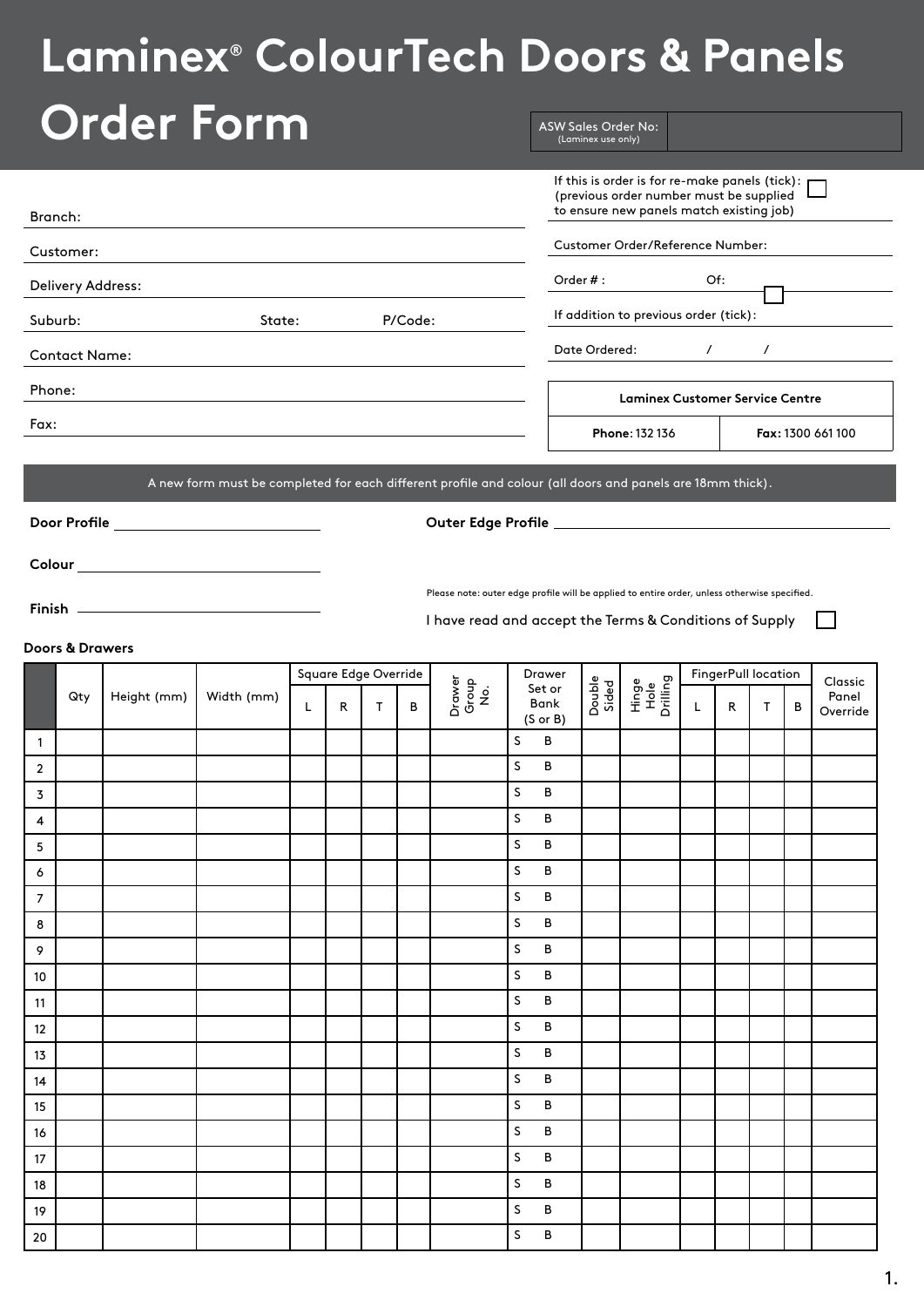# **Laminex® ColourTech Doors & Panels**

| <b>Order Form</b>                                                                                         |                                                                                              | <b>ASW Sales Order No:</b><br>(Laminex use only) |                                                                                                                                         |                     |          |   |                         |
|-----------------------------------------------------------------------------------------------------------|----------------------------------------------------------------------------------------------|--------------------------------------------------|-----------------------------------------------------------------------------------------------------------------------------------------|---------------------|----------|---|-------------------------|
| Branch:                                                                                                   |                                                                                              |                                                  | If this is order is for re-make panels (tick): p<br>(previous order number must be supplied<br>to ensure new panels match existing job) |                     |          |   |                         |
| Customer:                                                                                                 |                                                                                              |                                                  | Customer Order/Reference Number:                                                                                                        |                     |          |   |                         |
| Delivery Address:                                                                                         |                                                                                              | Order $#:$                                       |                                                                                                                                         | Of:                 |          |   |                         |
| Suburb:<br>State:                                                                                         | P/Code:                                                                                      |                                                  | If addition to previous order (tick):                                                                                                   |                     |          |   |                         |
| <b>Contact Name:</b>                                                                                      |                                                                                              | Date Ordered:                                    |                                                                                                                                         | $\mathcal{L}$       | $\prime$ |   |                         |
| Phone:                                                                                                    |                                                                                              |                                                  |                                                                                                                                         |                     |          |   |                         |
|                                                                                                           |                                                                                              |                                                  | <b>Laminex Customer Service Centre</b>                                                                                                  |                     |          |   |                         |
| Fax:                                                                                                      |                                                                                              |                                                  | Phone: 132 136                                                                                                                          |                     |          |   | Fax: 1300 661 100       |
| A new form must be completed for each different profile and colour (all doors and panels are 18mm thick). |                                                                                              |                                                  |                                                                                                                                         |                     |          |   |                         |
|                                                                                                           |                                                                                              |                                                  |                                                                                                                                         |                     |          |   |                         |
| Door Profile __________________________                                                                   |                                                                                              |                                                  |                                                                                                                                         |                     |          |   |                         |
|                                                                                                           |                                                                                              |                                                  |                                                                                                                                         |                     |          |   |                         |
|                                                                                                           | Please note: outer edge profile will be applied to entire order, unless otherwise specified. |                                                  |                                                                                                                                         |                     |          |   |                         |
|                                                                                                           | I have read and accept the Terms & Conditions of Supply                                      |                                                  |                                                                                                                                         |                     |          |   |                         |
| Doors & Drawers                                                                                           |                                                                                              |                                                  |                                                                                                                                         |                     |          |   |                         |
| Square Edge Override<br>Height (mm)<br>Width (mm)<br>Qty                                                  | Drawer<br>Group<br>No.                                                                       | Drawer<br>Double<br>Sided<br>Set or              | Hinge<br>Hole<br>Drilling                                                                                                               | FingerPull location |          |   | <b>Classic</b><br>Panel |
| $\mathsf{T}$<br>L<br>R                                                                                    | B                                                                                            | Bank<br>$(S \text{ or } B)$                      |                                                                                                                                         | R<br>L.             | T        | В | Override                |
| $\mathbf{1}$                                                                                              | S                                                                                            | B                                                |                                                                                                                                         |                     |          |   |                         |
| $\overline{2}$<br>3                                                                                       | S<br>S                                                                                       | В<br>в                                           |                                                                                                                                         |                     |          |   |                         |
| 4                                                                                                         | S                                                                                            | в                                                |                                                                                                                                         |                     |          |   |                         |
| 5                                                                                                         | s                                                                                            | В                                                |                                                                                                                                         |                     |          |   |                         |
| 6                                                                                                         | S.                                                                                           | В                                                |                                                                                                                                         |                     |          |   |                         |
| 7                                                                                                         | S                                                                                            | в                                                |                                                                                                                                         |                     |          |   |                         |
| 8                                                                                                         | S                                                                                            | в                                                |                                                                                                                                         |                     |          |   |                         |
| 9                                                                                                         | s<br>s                                                                                       | в<br>В                                           |                                                                                                                                         |                     |          |   |                         |
| 10<br>11                                                                                                  | S.                                                                                           | в                                                |                                                                                                                                         |                     |          |   |                         |
| 12                                                                                                        | S                                                                                            | В                                                |                                                                                                                                         |                     |          |   |                         |
| 13                                                                                                        | s                                                                                            | В                                                |                                                                                                                                         |                     |          |   |                         |
| 14                                                                                                        | s                                                                                            | в                                                |                                                                                                                                         |                     |          |   |                         |
| 15                                                                                                        | s                                                                                            | В                                                |                                                                                                                                         |                     |          |   |                         |
| 16                                                                                                        |                                                                                              | В                                                |                                                                                                                                         |                     |          |   |                         |
|                                                                                                           | S.                                                                                           |                                                  |                                                                                                                                         |                     |          |   |                         |
| 17<br>18                                                                                                  | s<br>s                                                                                       | в<br>в                                           |                                                                                                                                         |                     |          |   |                         |

20 S B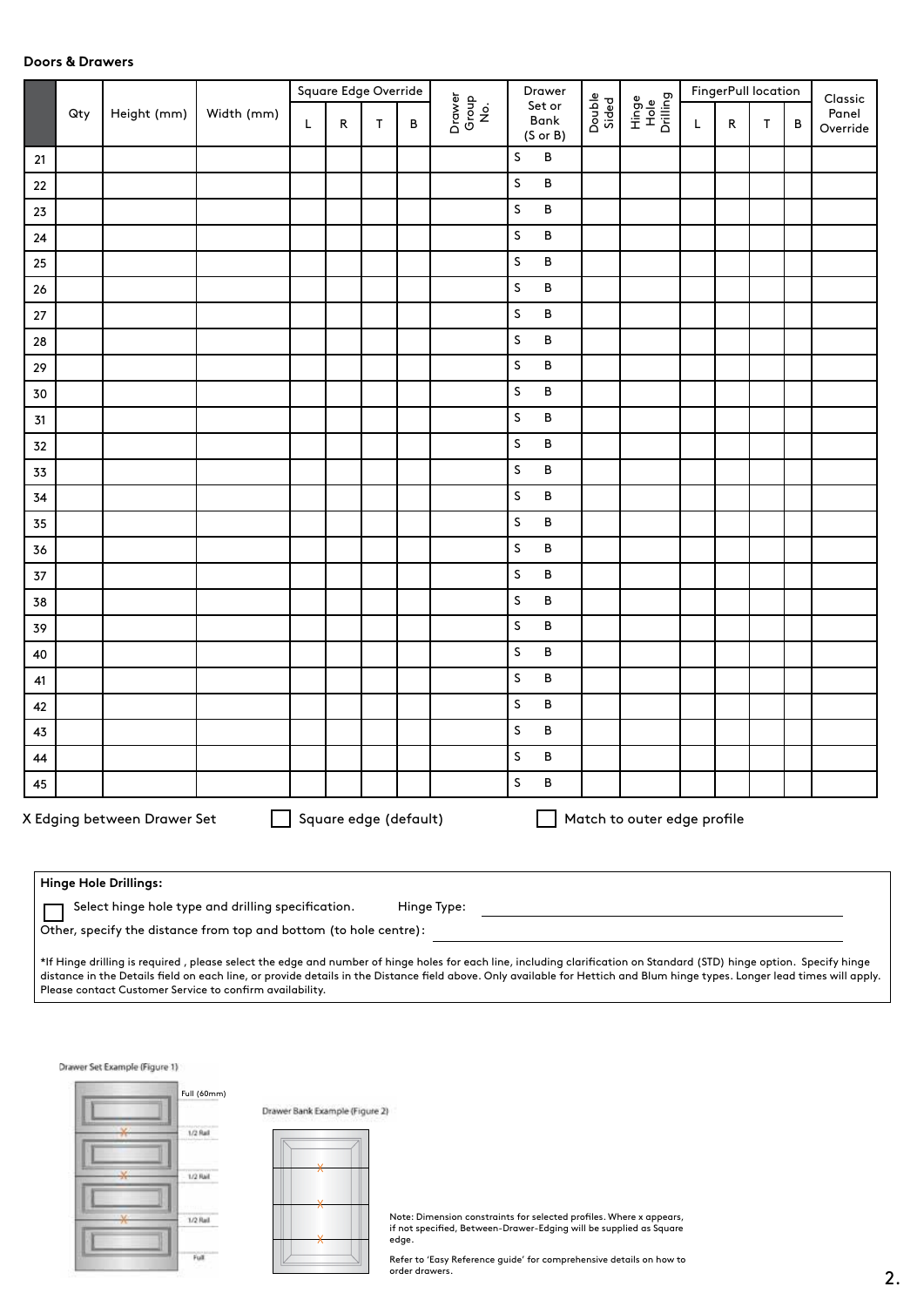## **Doors & Drawers**

|        |     |                             |            |   | Square Edge Override  |              |   |                        | Drawer                                |                 |                             |   | FingerPull location |   |   | Classic           |
|--------|-----|-----------------------------|------------|---|-----------------------|--------------|---|------------------------|---------------------------------------|-----------------|-----------------------------|---|---------------------|---|---|-------------------|
|        | Qty | Height (mm)                 | Width (mm) | L | R                     | $\mathsf{T}$ | В | Drawer<br>Group<br>No. | Set or<br>Bank<br>$(S \text{ or } B)$ | Double<br>Sided | Hinge<br>Hole<br>Drilling   | L | ${\sf R}$           | T | B | Panel<br>Override |
| $21$   |     |                             |            |   |                       |              |   |                        | $\, {\sf B}$<br>S                     |                 |                             |   |                     |   |   |                   |
| $22\,$ |     |                             |            |   |                       |              |   |                        | $\sf S$<br>$\, {\bf B}$               |                 |                             |   |                     |   |   |                   |
| 23     |     |                             |            |   |                       |              |   |                        | $\sf S$<br>$\, {\bf B}$               |                 |                             |   |                     |   |   |                   |
| $24\,$ |     |                             |            |   |                       |              |   |                        | $\sf S$<br>$\, {\bf B}$               |                 |                             |   |                     |   |   |                   |
| 25     |     |                             |            |   |                       |              |   |                        | S<br>$\, {\bf B}$                     |                 |                             |   |                     |   |   |                   |
| 26     |     |                             |            |   |                       |              |   |                        | S<br>$\, {\bf B}$                     |                 |                             |   |                     |   |   |                   |
| $27\,$ |     |                             |            |   |                       |              |   |                        | $\sf S$<br>$\, {\bf B}$               |                 |                             |   |                     |   |   |                   |
| 28     |     |                             |            |   |                       |              |   |                        | $\sf S$<br>$\, {\bf B}$               |                 |                             |   |                     |   |   |                   |
| 29     |     |                             |            |   |                       |              |   |                        | $\sf S$<br>B                          |                 |                             |   |                     |   |   |                   |
| $30$   |     |                             |            |   |                       |              |   |                        | $\, {\bf B}$<br>S                     |                 |                             |   |                     |   |   |                   |
| 31     |     |                             |            |   |                       |              |   |                        | S<br>$\, {\bf B}$                     |                 |                             |   |                     |   |   |                   |
| 32     |     |                             |            |   |                       |              |   |                        | $\sf S$<br>$\, {\bf B}$               |                 |                             |   |                     |   |   |                   |
| 33     |     |                             |            |   |                       |              |   |                        | S<br>$\, {\bf B}$                     |                 |                             |   |                     |   |   |                   |
| 34     |     |                             |            |   |                       |              |   |                        | $\sf S$<br>B                          |                 |                             |   |                     |   |   |                   |
| 35     |     |                             |            |   |                       |              |   |                        | S<br>$\, {\bf B}$                     |                 |                             |   |                     |   |   |                   |
| 36     |     |                             |            |   |                       |              |   |                        | S<br>$\, {\bf B}$                     |                 |                             |   |                     |   |   |                   |
| $37\,$ |     |                             |            |   |                       |              |   |                        | $\, {\bf B}$<br>S                     |                 |                             |   |                     |   |   |                   |
| 38     |     |                             |            |   |                       |              |   |                        | S<br>$\, {\bf B}$                     |                 |                             |   |                     |   |   |                   |
| 39     |     |                             |            |   |                       |              |   |                        | $\sf S$<br>B                          |                 |                             |   |                     |   |   |                   |
| 40     |     |                             |            |   |                       |              |   |                        | S<br>$\, {\bf B}$                     |                 |                             |   |                     |   |   |                   |
| 41     |     |                             |            |   |                       |              |   |                        | S<br>$\, {\bf B}$                     |                 |                             |   |                     |   |   |                   |
| 42     |     |                             |            |   |                       |              |   |                        | $\sf S$<br>$\, {\bf B}$               |                 |                             |   |                     |   |   |                   |
| 43     |     |                             |            |   |                       |              |   |                        | S<br>$\, {\bf B}$                     |                 |                             |   |                     |   |   |                   |
| 44     |     |                             |            |   |                       |              |   |                        | S<br>В                                |                 |                             |   |                     |   |   |                   |
| 45     |     |                             |            |   |                       |              |   |                        | $\sf S$<br>$\, {\sf B}$               |                 |                             |   |                     |   |   |                   |
|        |     | X Edging between Drawer Set |            |   | Square edge (default) |              |   |                        |                                       |                 | Match to outer edge profile |   |                     |   |   |                   |
|        |     | Hinge Hole Drillings:       |            |   |                       |              |   |                        |                                       |                 |                             |   |                     |   |   |                   |

| $\Box$ Select hinge hole type and drilling specification. | Hinge Type: |
|-----------------------------------------------------------|-------------|
|                                                           |             |

Other, specify the distance from top and bottom (to hole centre):

\*If Hinge drilling is required , please select the edge and number of hinge holes for each line, including clarification on Standard (STD) hinge option. Specify hinge distance in the Details field on each line, or provide details in the Distance field above. Only available for Hettich and Blum hinge types. Longer lead times will apply. Please contact Customer Service to confirm availability.

Drawer Set Example (Figure 1)





Note: Dimension constraints for selected profiles. Where x appears, if not specified, Between-Drawer-Edging will be supplied as Square edge.

Refer to 'Easy Reference guide' for comprehensive details on how to order drawers.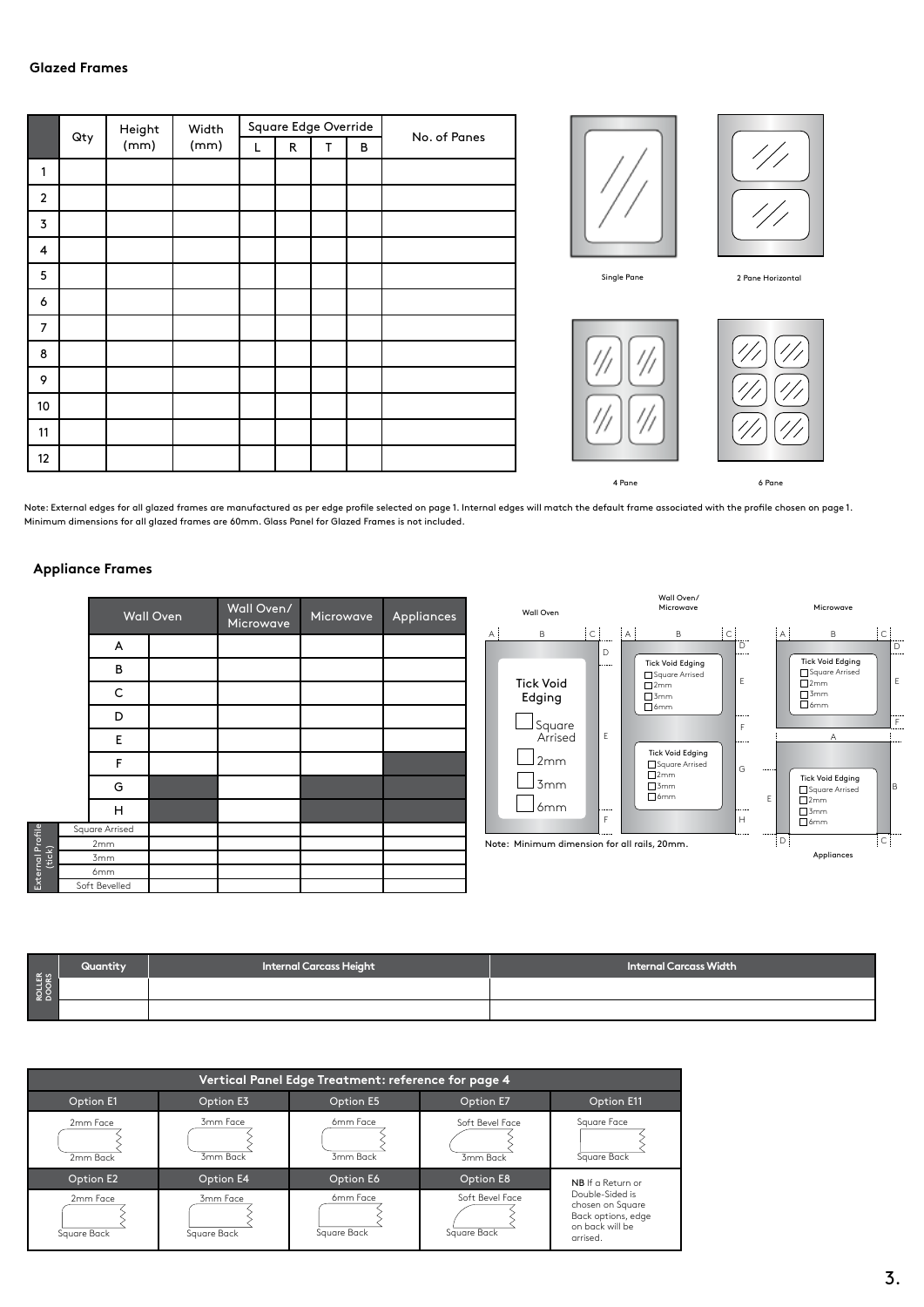## **Glazed Frames**

|                |     | Height | Width |   |              | Square Edge Override |   | No. of Panes |
|----------------|-----|--------|-------|---|--------------|----------------------|---|--------------|
|                | Qty | (mm)   | (mm)  | L | $\mathsf{R}$ | T                    | В |              |
| 1              |     |        |       |   |              |                      |   |              |
| $\overline{2}$ |     |        |       |   |              |                      |   |              |
| 3              |     |        |       |   |              |                      |   |              |
| 4              |     |        |       |   |              |                      |   |              |
| 5              |     |        |       |   |              |                      |   |              |
| 6              |     |        |       |   |              |                      |   |              |
| $\overline{7}$ |     |        |       |   |              |                      |   |              |
| 8              |     |        |       |   |              |                      |   |              |
| 9              |     |        |       |   |              |                      |   |              |
| 10             |     |        |       |   |              |                      |   |              |
| 11             |     |        |       |   |              |                      |   |              |
| 12             |     |        |       |   |              |                      |   |              |





2 Pane Horizontal

4 Pane

6 Pane

Note: External edges for all glazed frames are manufactured as per edge profile selected on page 1. Internal edges will match the default frame associated with the profile chosen on page 1. Minimum dimensions for all glazed frames are 60mm. Glass Panel for Glazed Frames is not included.

#### **Appliance Frames**

External Profile

|        |                | <b>Wall Oven</b> | Wall Oven/<br>Microwave | Microwave | Appliances |
|--------|----------------|------------------|-------------------------|-----------|------------|
|        | A              |                  |                         |           |            |
|        | В              |                  |                         |           |            |
|        | С              |                  |                         |           |            |
|        | D              |                  |                         |           |            |
|        | E              |                  |                         |           |            |
|        | F              |                  |                         |           |            |
|        | G              |                  |                         |           |            |
|        | н              |                  |                         |           |            |
|        | Square Arrised |                  |                         |           |            |
|        | 2mm            |                  |                         |           |            |
| (tick) | 3mm            |                  |                         |           |            |
|        | 6mm            |                  |                         |           |            |
|        | Soft Bevelled  |                  |                         |           |            |



|                 | Quantity | <b>Internal Carcass Height</b> | Internal Carcass Width |
|-----------------|----------|--------------------------------|------------------------|
| ROLLER<br>DOORS |          |                                |                        |
|                 |          |                                |                        |

| Vertical Panel Edge Treatment: reference for page 4 |                         |                         |                                |                                                                                          |  |  |  |  |  |  |  |
|-----------------------------------------------------|-------------------------|-------------------------|--------------------------------|------------------------------------------------------------------------------------------|--|--|--|--|--|--|--|
| Option E1                                           | Option E3               | Option E5               | Option E7                      | Option E11                                                                               |  |  |  |  |  |  |  |
| 2mm Face<br>2mm Back                                | 3mm Face<br>3mm Back    | 6mm Face<br>3mm Back    | Soft Bevel Face<br>3mm Back    | Square Face<br>Square Back                                                               |  |  |  |  |  |  |  |
| Option E2                                           | Option E4               | Option E6               | Option E8                      | NB If a Return or                                                                        |  |  |  |  |  |  |  |
| 2mm Face<br>Square Back                             | 3mm Face<br>Sauare Back | 6mm Face<br>Square Back | Soft Bevel Face<br>Square Back | Double-Sided is<br>chosen on Square<br>Back options, edge<br>on back will be<br>arrised. |  |  |  |  |  |  |  |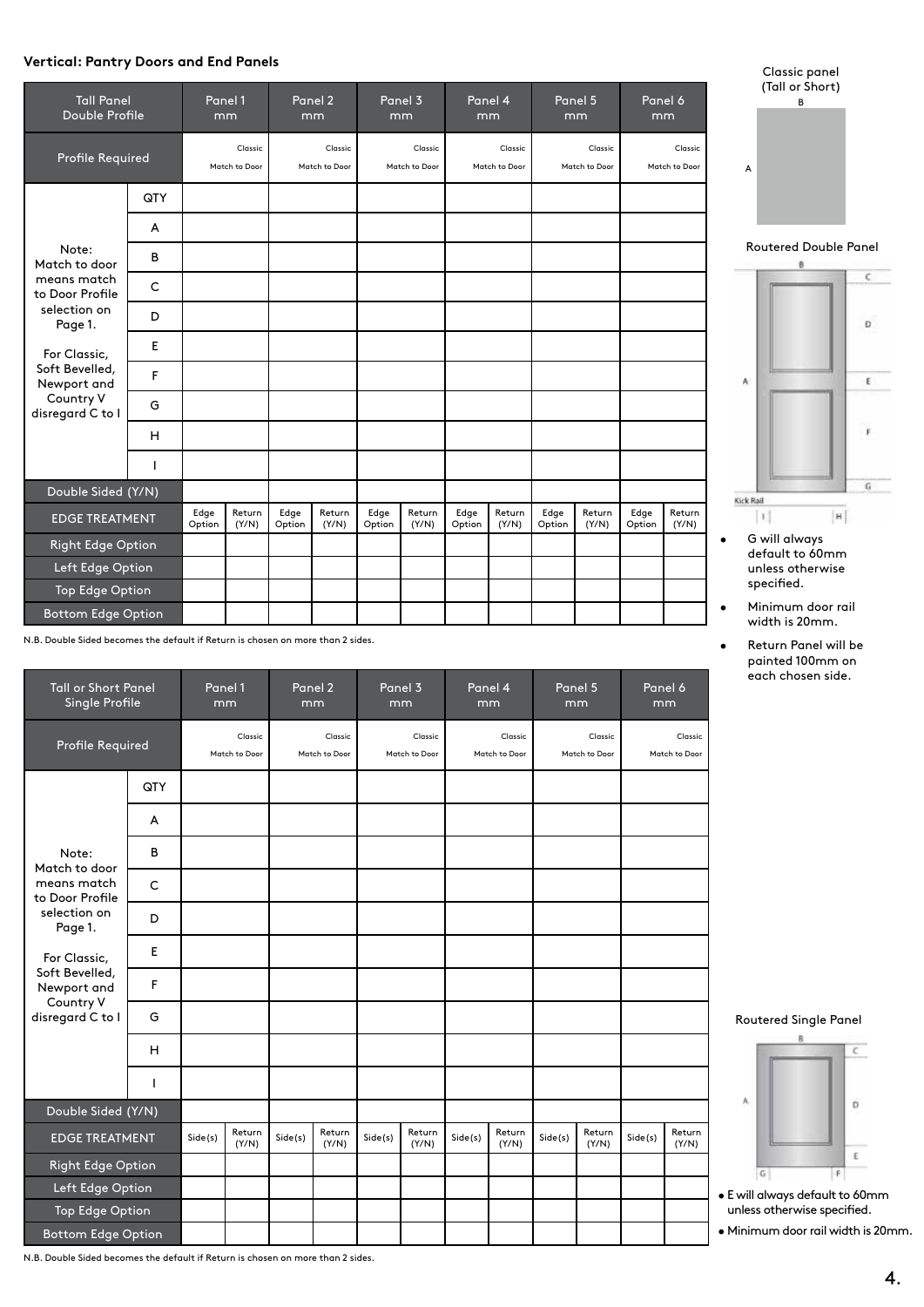# **Vertical: Pantry Doors and End Panels**

| <b>Tall Panel</b><br><b>Double Profile</b> |              | Panel 1        | mm                       |                | Panel 2<br>mm            |                | Panel 3<br>mm            |                | Panel 4<br>mm            |                | Panel 5<br>mm            | Panel 6<br>mm  |                          |
|--------------------------------------------|--------------|----------------|--------------------------|----------------|--------------------------|----------------|--------------------------|----------------|--------------------------|----------------|--------------------------|----------------|--------------------------|
| Profile Required                           |              |                | Classic<br>Match to Door |                | Classic<br>Match to Door |                | Classic<br>Match to Door |                | Classic<br>Match to Door |                | Classic<br>Match to Door |                | Classic<br>Match to Door |
|                                            | QTY          |                |                          |                |                          |                |                          |                |                          |                |                          |                |                          |
|                                            | A            |                |                          |                |                          |                |                          |                |                          |                |                          |                |                          |
| Note:<br>Match to door                     | B            |                |                          |                |                          |                |                          |                |                          |                |                          |                |                          |
| means match<br>to Door Profile             | $\mathsf{C}$ |                |                          |                |                          |                |                          |                |                          |                |                          |                |                          |
| selection on<br>Page 1.                    | D            |                |                          |                |                          |                |                          |                |                          |                |                          |                |                          |
| For Classic,                               | E            |                |                          |                |                          |                |                          |                |                          |                |                          |                |                          |
| Soft Bevelled,<br>Newport and              | F            |                |                          |                |                          |                |                          |                |                          |                |                          |                |                          |
| Country V<br>disregard C to I              | G            |                |                          |                |                          |                |                          |                |                          |                |                          |                |                          |
|                                            | H            |                |                          |                |                          |                |                          |                |                          |                |                          |                |                          |
|                                            | I            |                |                          |                |                          |                |                          |                |                          |                |                          |                |                          |
| Double Sided (Y/N)                         |              |                |                          |                |                          |                |                          |                |                          |                |                          |                |                          |
| <b>EDGE TREATMENT</b>                      |              | Edge<br>Option | Return<br>(Y/N)          | Edge<br>Option | Return<br>(Y/N)          | Edge<br>Option | Return<br>(Y/N)          | Edge<br>Option | Return<br>(Y/N)          | Edge<br>Option | Return<br>(Y/N)          | Edge<br>Option | Return<br>(Y/N)          |
| <b>Right Edge Option</b>                   |              |                |                          |                |                          |                |                          |                |                          |                |                          |                |                          |
| Left Edge Option                           |              |                |                          |                |                          |                |                          |                |                          |                |                          |                |                          |
| <b>Top Edge Option</b>                     |              |                |                          |                |                          |                |                          |                |                          |                |                          |                |                          |
| <b>Bottom Edge Option</b>                  |              |                |                          |                |                          |                |                          |                |                          |                |                          |                |                          |

N.B. Double Sided becomes the default if Return is chosen on more than 2 sides.

| <b>Tall or Short Panel</b><br>Single Profile |     | mm      | Panel 1                  |         | Panel 2<br>mm            |         | Panel 3<br>mm            | mm      | Panel 4                  | Panel 5<br>mm |                          |         | Panel 6<br>mm            |
|----------------------------------------------|-----|---------|--------------------------|---------|--------------------------|---------|--------------------------|---------|--------------------------|---------------|--------------------------|---------|--------------------------|
| <b>Profile Required</b>                      |     |         | Classic<br>Match to Door |         | Classic<br>Match to Door |         | Classic<br>Match to Door |         | Classic<br>Match to Door |               | Classic<br>Match to Door |         | Classic<br>Match to Door |
|                                              | QTY |         |                          |         |                          |         |                          |         |                          |               |                          |         |                          |
|                                              | A   |         |                          |         |                          |         |                          |         |                          |               |                          |         |                          |
| Note:<br>Match to door                       | B   |         |                          |         |                          |         |                          |         |                          |               |                          |         |                          |
| means match<br>to Door Profile               | C   |         |                          |         |                          |         |                          |         |                          |               |                          |         |                          |
| selection on<br>Page 1.                      | D   |         |                          |         |                          |         |                          |         |                          |               |                          |         |                          |
| For Classic,                                 | Е   |         |                          |         |                          |         |                          |         |                          |               |                          |         |                          |
| Soft Bevelled,<br>Newport and                | F   |         |                          |         |                          |         |                          |         |                          |               |                          |         |                          |
| Country V<br>disregard C to I                | G   |         |                          |         |                          |         |                          |         |                          |               |                          |         |                          |
|                                              | н   |         |                          |         |                          |         |                          |         |                          |               |                          |         |                          |
|                                              | T   |         |                          |         |                          |         |                          |         |                          |               |                          |         |                          |
| Double Sided (Y/N)                           |     |         |                          |         |                          |         |                          |         |                          |               |                          |         |                          |
| <b>EDGE TREATMENT</b>                        |     | Side(s) | Return<br>(Y/N)          | Side(s) | Return<br>(Y/N)          | Side(s) | Return<br>(Y/N)          | Side(s) | Return<br>(Y/N)          | Side(s)       | Return<br>(Y/N)          | Side(s) | Return<br>(Y/N)          |
| <b>Right Edge Option</b>                     |     |         |                          |         |                          |         |                          |         |                          |               |                          |         |                          |
| Left Edge Option                             |     |         |                          |         |                          |         |                          |         |                          |               |                          |         |                          |
| <b>Top Edge Option</b>                       |     |         |                          |         |                          |         |                          |         |                          |               |                          |         |                          |
| <b>Bottom Edge Option</b>                    |     |         |                          |         |                          |         |                          |         |                          |               |                          |         |                          |

Classic panel (Tall or Short) B A

Routered Double Panel



- G will always default to 60mm unless otherwise specified.
- Minimum door rail width is 20mm.
- Return Panel will be painted 100mm on each chosen side.





- E will always default to 60mm unless otherwise specified.
- Minimum door rail width is 20mm.

N.B. Double Sided becomes the default if Return is chosen on more than 2 sides.